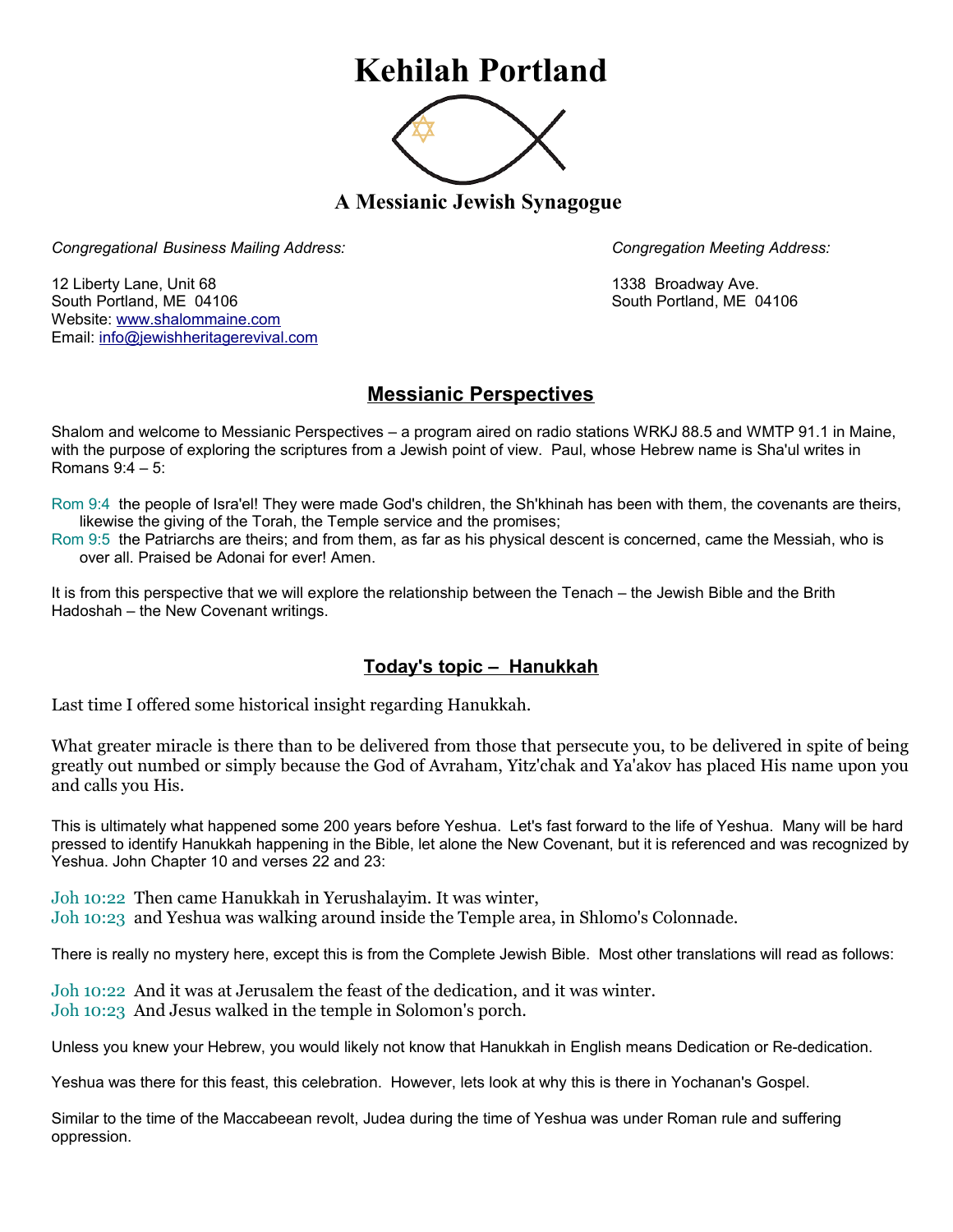## **Kehilah Portland**



**A Messianic Jewish Synagogue** 

*Congregational Business Mailing Address: Congregation Meeting Address:*

12 Liberty Lane, Unit 68 1338 Broadway Ave. South Portland, ME 04106 South Portland, ME 04106 Website: [www.shalommaine.com](http://www.shalommaine.com/) Email: [info@jewishheritagerevival.com](mailto:info@jewishheritagerevival.com) 

## **Messianic Perspectives**

Shalom and welcome to Messianic Perspectives – a program aired on radio stations WRKJ 88.5 and WMTP 91.1 in Maine, with the purpose of exploring the scriptures from a Jewish point of view. Paul, whose Hebrew name is Sha'ul writes in Romans 9:4 – 5:

Rom 9:4 the people of Isra'el! They were made God's children, the Sh'khinah has been with them, the covenants are theirs, likewise the giving of the Torah, the Temple service and the promises;

Rom 9:5 the Patriarchs are theirs; and from them, as far as his physical descent is concerned, came the Messiah, who is over all. Praised be Adonai for ever! Amen.

It is from this perspective that we will explore the relationship between the Tenach – the Jewish Bible and the Brith Hadoshah – the New Covenant writings.

## **Today's topic – Hanukkah**

Last time I offered some historical insight regarding Hanukkah.

What greater miracle is there than to be delivered from those that persecute you, to be delivered in spite of being greatly out numbed or simply because the God of Avraham, Yitz'chak and Ya'akov has placed His name upon you and calls you His.

This is ultimately what happened some 200 years before Yeshua. Let's fast forward to the life of Yeshua. Many will be hard pressed to identify Hanukkah happening in the Bible, let alone the New Covenant, but it is referenced and was recognized by Yeshua. John Chapter 10 and verses 22 and 23:

Joh 10:22 Then came Hanukkah in Yerushalayim. It was winter, Joh 10:23 and Yeshua was walking around inside the Temple area, in Shlomo's Colonnade.

There is really no mystery here, except this is from the Complete Jewish Bible. Most other translations will read as follows:

Joh 10:22 And it was at Jerusalem the feast of the dedication, and it was winter. Joh 10:23 And Jesus walked in the temple in Solomon's porch.

Unless you knew your Hebrew, you would likely not know that Hanukkah in English means Dedication or Re-dedication.

Yeshua was there for this feast, this celebration. However, lets look at why this is there in Yochanan's Gospel.

Similar to the time of the Maccabeean revolt, Judea during the time of Yeshua was under Roman rule and suffering oppression.